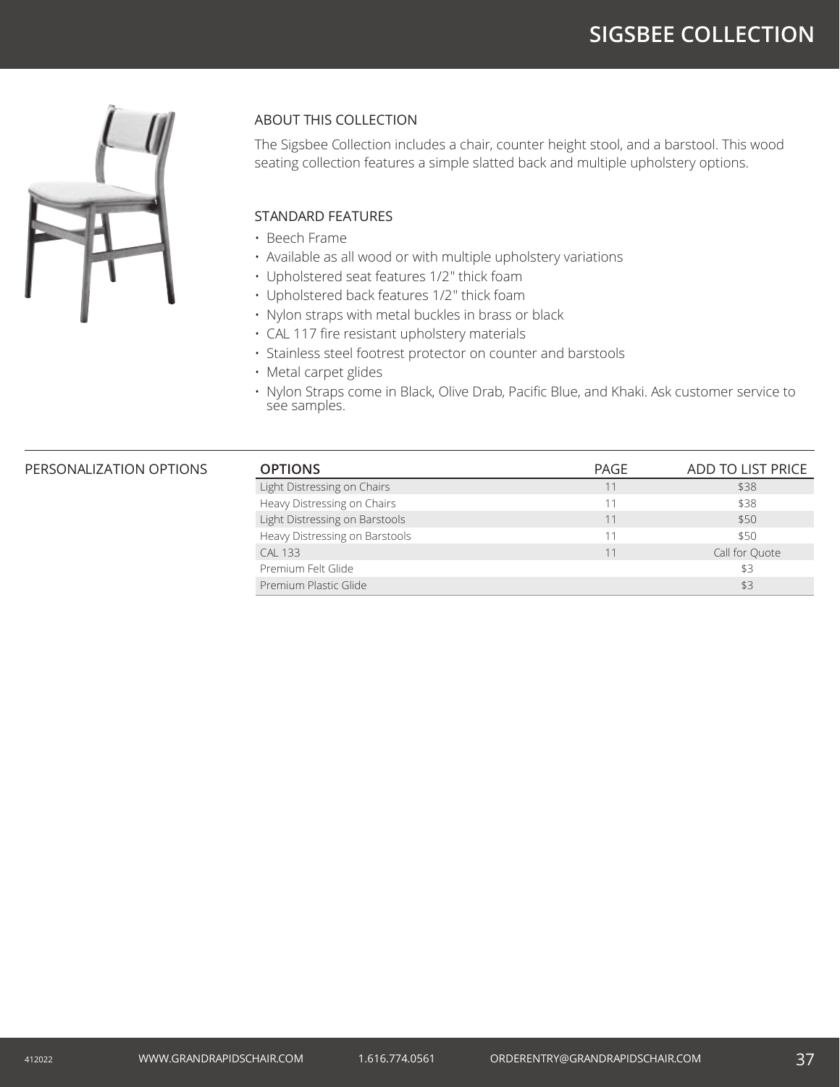# **SIGSBEE COLLECTION**



### ABOUT THIS COLLECTION

The Sigsbee Collection includes a chair, counter height stool, and a barstool. This wood seating collection features a simple slatted back and multiple upholstery options.

### STANDARD FEATURES

- Beech Frame
- Available as all wood or with multiple upholstery variations
- Upholstered seat features 1/2" thick foam
- Upholstered back features 1/2" thick foam
- Nylon straps with metal buckles in brass or black
- CAL 117 fire resistant upholstery materials
- Stainless steel footrest protector on counter and barstools
- Metal carpet glides
- Nylon Straps come in Black, Olive Drab, Pacific Blue, and Khaki. Ask customer service to see samples.

#### **PERSONALIZATION OPTIONS**

| <b>OPTIONS</b>                 | PAGE | ADD TO LIST PRICE |
|--------------------------------|------|-------------------|
| Light Distressing on Chairs    | 11   | \$38              |
| Heavy Distressing on Chairs    | 11   | \$38              |
| Light Distressing on Barstools | 11   | \$50              |
| Heavy Distressing on Barstools | 11   | \$50              |
| <b>CAL 133</b>                 | 11   | Call for Ouote    |
| Premium Felt Glide             |      | \$3               |
| Premium Plastic Glide          |      | \$3               |